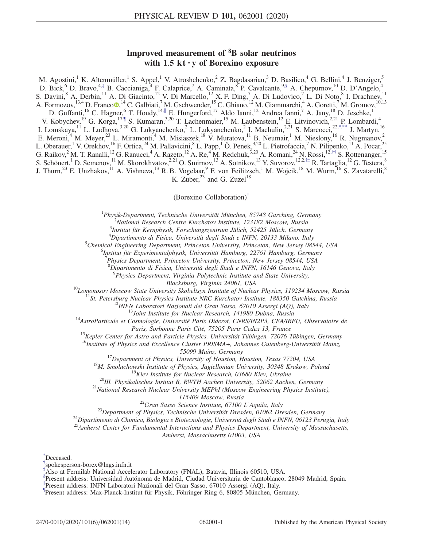# Improved measurement of <sup>8</sup>B solar neutrinos with  $1.5$  kt  $\cdot$  y of Borexino exposure

<span id="page-0-12"></span><span id="page-0-11"></span><span id="page-0-10"></span><span id="page-0-9"></span><span id="page-0-8"></span><span id="page-0-6"></span>M. Agostini,<sup>1</sup> K. Altenmüller,<sup>1</sup> S. Appel,<sup>1</sup> V. Atroshchenko,<sup>2</sup> Z. Bagdasarian,<sup>3</sup> D. Basilico,<sup>4</sup> G. Bellini,<sup>4</sup> J. Benziger,<sup>5</sup> D. Bick,<sup>6</sup> D. Bravo,<sup>4,[‡](#page-0-0)</sup> B. Caccianiga,<sup>4</sup> F. Calaprice,<sup>7</sup> A. Caminata,<sup>8</sup> P. Cavalcante,<sup>[9,§](#page-0-1)</sup> A. Chepurnov,<sup>10</sup> D. D'Angelo,<sup>4</sup> S. Davini,<sup>8</sup> A. Derbin,<sup>11</sup> A. Di Giacinto,<sup>12</sup> V. Di Marcello,<sup>12</sup> X. F. Ding,<sup>7</sup> A. Di Ludovico,<sup>7</sup> L. Di Noto,<sup>8</sup> I. Drachnev,<sup>11</sup> A. Formozov,<sup>13,4</sup> D. Franco<sup>®,14</sup> C. Galbiati,<sup>7</sup> M. Gschwender,<sup>15</sup> C. Ghiano,<sup>12</sup> M. Giammarchi,<sup>4</sup> A. Goretti,<sup>7</sup> M. Gromov,<sup>10,13</sup> D. Guffanti,<sup>16</sup> C. Hagner,<sup>6</sup> T. Houdy,<sup>14,[∥](#page-0-2)</sup> E. Hungerford,<sup>17</sup> Aldo Ianni,<sup>12</sup> Andrea Ianni,<sup>7</sup> A. Jany,<sup>18</sup> D. Jeschke,<sup>1</sup> V. Kobychev,<sup>19</sup> G. Korga,<sup>1[7,¶](#page-0-3)</sup> S. Kumaran,<sup>3,20</sup> T. Lachenmaier,<sup>15</sup> M. Laubenstein,<sup>12</sup> E. Litvinovich,<sup>2,21</sup> P. Lombardi,<sup>4</sup> I. Lomskaya,<sup>11</sup> L. Ludhova,<sup>3,20</sup> G. Lukyanchenko,<sup>2</sup> L. Lukyanchenko,<sup>2</sup> I. Machulin,<sup>2,21</sup> S. Marcocci,<sup>22[,\\*,\\*\\*](#page-0-4)</sup> J. Martyn,<sup>16</sup> E. Meroni,<sup>4</sup> M. Meyer,<sup>23</sup> L. Miramonti,<sup>4</sup> M. Misiaszek,<sup>18</sup> V. Muratova,<sup>11</sup> B. Neumair,<sup>1</sup> M. Nieslony,<sup>16</sup> R. Nugmanov,<sup>2</sup> L. Oberauer,<sup>1</sup> V. Orekhov,<sup>16</sup> F. Ortica,<sup>24</sup> M. Pallavicini,<sup>8</sup> L. Papp,<sup>1</sup> Ö. Penek,<sup>3,20</sup> L. Pietrofaccia,<sup>7</sup> N. Pilipenko,<sup>11</sup> A. Pocar,<sup>25</sup> G. Raikov,<sup>2</sup> M. T. Ranalli,<sup>12</sup> G. Ranucci,<sup>4</sup> A. Razeto,<sup>12</sup> A. Re,<sup>4</sup> M. Redchuk,<sup>3,20</sup> A. Romani,<sup>24</sup> N. Rossi,<sup>12,[††](#page-1-0)</sup> S. Rottenanger,<sup>15</sup> S. Schönert,<sup>1</sup> D. Semenov,<sup>11</sup> M. Skorokhvatov,<sup>2,21</sup> O. Smirnov,<sup>13</sup> A. Sotnikov,<sup>13</sup> Y. Suvorov,<sup>12,2,[‡‡](#page-1-1)</sup> R. Tartaglia,<sup>12</sup> G. Testera,<sup>8</sup> J. Thurn,<sup>23</sup> E. Unzhakov,<sup>11</sup> A. Vishneva,<sup>13</sup> R. B. Vogelaar, <sup>9</sup> F. von Feilitzsch,<sup>1</sup> M. Wojcik,<sup>18</sup> M. Wurm,<sup>16</sup> S. Zavatarelli,<sup>8</sup> K. Zuber, $^{23}$  and G. Zuzel<sup>18</sup>

(Borexino Collaboration)[†](#page-0-5)

<sup>1</sup>Physik-Department, Technische Universität München, 85748 Garching, Germany<br><sup>2</sup>National Pessaxeb Centre Kurskatov Institute, 123182 Mossov, Pussia

<sup>2</sup>National Research Centre Kurchatov Institute, 123182 Moscow, Russia<br><sup>3</sup>Institut für Kernphysik, Forschungszentrum Jülich, 52425 Jülich, Germany

<span id="page-0-7"></span><sup>4</sup>Dipartimento di Fisica, Università degli Studi e INFN, 20133 Milano, Italy 5<br>Schamiael Fraineering Department, Princeton University, Princeton, New Jersey 085

 $^5$ Chemical Engineering Department, Princeton University, Princeton, New Jersey 08544, USA

 $^6$ Institut für Experimentalphysik, Universität Hamburg, 22761 Hamburg, Germany

<sup>7</sup>Physics Department, Princeton University, Princeton, New Jersey 08544, USA

 ${}^8D$ ipartimento di Fisica, Università degli Studi e INFN, 16146 Genova, Italy 9 Denoises Denormant, Vinginia Belutechnic Institute and State University

 $P<sup>3</sup>$ Physics Department, Virginia Polytechnic Institute and State University,

Blacksburg, Virginia 24061, USA<br><sup>10</sup>Lomonosov Moscow State University Skobeltsyn Institute of Nuclear Physics, 119234 Moscow, Russia<br><sup>11</sup>St. Petersburg Nuclear Physics Institute NRC Kurchatov Institute, 188350 Gatchina, Ru

Paris, Sorbonne Paris Cité, 75205 Paris Cedex 13, France 15Kepler Center for Astro and Particle Physics, Universität Tübingen, 72076 Tübingen, Germany

 $^{16}$ Institute of Physics and Excellence Cluster PRISMA+, Johannes Gutenberg-Universität Mainz,

55099 Mainz, Germany<br><sup>17</sup> Department of Physics, University of Houston, Houston, Texas 77204, USA<br><sup>18</sup>M. Smoluchowski Institute of Physics, Jagiellonian University, 30348 Krakow, Poland<br><sup>19</sup>Kiev Institute for Nuclear Rese

115409 Moscow, Russia<br><sup>22</sup>Gran Sasso Science Institute, 67100 L'Aquila, Italy<br><sup>23</sup>Dipartimento di Chimica, Biologia e Biotecnologie, Università degli Studi e INFN, 06123 Perugia, Italy<br><sup>25</sup>Amherst Center for Fundamental I

Amherst, Massachusetts 01003, USA

<span id="page-0-4"></span>[<sup>\\*</sup>](#page-0-6) Deceased.

<span id="page-0-5"></span>[<sup>†</sup>](#page-0-7) spokesperson-borex@lngs.infn.it

<span id="page-0-0"></span>[<sup>‡</sup>](#page-0-8) Also at Fermilab National Accelerator Laboratory (FNAL), Batavia, Illinois 60510, USA.

<span id="page-0-1"></span>[<sup>§</sup>](#page-0-8) Present address: Universidad Autónoma de Madrid, Ciudad Universitaria de Cantoblanco, 28049 Madrid, Spain.

<span id="page-0-2"></span>[<sup>∥</sup>](#page-0-9) Present address: INFN Laboratori Nazionali del Gran Sasso, 67010 Assergi (AQ), Italy.

<span id="page-0-3"></span>[<sup>¶</sup>](#page-0-10) Present address: Max-Planck-Institut für Physik, Föhringer Ring 6, 80805 München, Germany.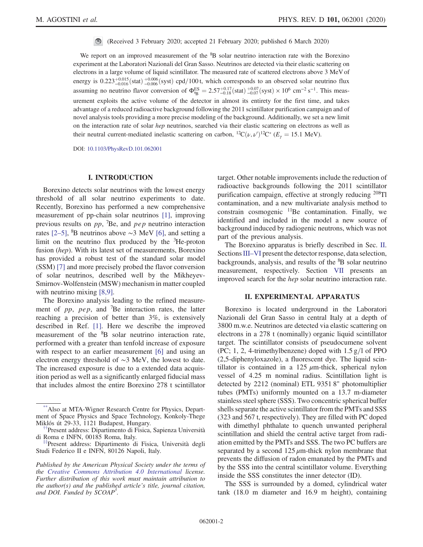(Received 3 February 2020; accepted 21 February 2020; published 6 March 2020)

We report on an improved measurement of the <sup>8</sup>B solar neutrino interaction rate with the Borexino experiment at the Laboratori Nazionali del Gran Sasso. Neutrinos are detected via their elastic scattering on electrons in a large volume of liquid scintillator. The measured rate of scattered electrons above 3 MeV of energy is  $0.223^{+0.015}_{-0.016}$  (stat)  $^{+0.006}_{-0.006}$  (syst) cpd/100 t, which corresponds to an observed solar neutrino flux assuming no neutrino flavor conversion of  $\Phi_{8B}^{ES} = 2.57^{+0.17}_{-0.18}$  (stat)  $^{+0.07}_{-0.07}$  (syst) × 10<sup>6</sup> cm<sup>-2</sup> s<sup>-1</sup>. This measurement exploits the active volume of the detector in almost its entirety for the first time, and takes advantage of a reduced radioactive background following the 2011 scintillator purification campaign and of novel analysis tools providing a more precise modeling of the background. Additionally, we set a new limit on the interaction rate of solar *hep* neutrinos, searched via their elastic scattering on electrons as well as their neutral current-mediated inelastic scattering on carbon, <sup>12</sup>C( $\nu$ ,  $\nu$ )<sup>12</sup>C<sup>\*</sup> ( $E_{\gamma} = 15.1$  MeV).

DOI: [10.1103/PhysRevD.101.062001](https://doi.org/10.1103/PhysRevD.101.062001)

### I. INTRODUCTION

Borexino detects solar neutrinos with the lowest energy threshold of all solar neutrino experiments to date. Recently, Borexino has performed a new comprehensive measurement of pp-chain solar neutrinos [\[1\],](#page-12-0) improving previous results on  $pp$ , <sup>7</sup>Be, and  $pep$  neutrino interaction rates [2–[5\]](#page-12-1), <sup>8</sup>B neutrinos above  $\sim$ 3 MeV [\[6\],](#page-12-2) and setting a limit on the neutrino flux produced by the <sup>3</sup>He-proton fusion (hep). With its latest set of measurements, Borexino has provided a robust test of the standard solar model (SSM) [\[7\]](#page-12-3) and more precisely probed the flavor conversion of solar neutrinos, described well by the Mikheyev-Smirnov-Wolfenstein (MSW) mechanism in matter coupled with neutrino mixing [\[8,9\]](#page-12-4).

The Borexino analysis leading to the refined measurement of  $pp$ ,  $pep$ , and <sup>7</sup>Be interaction rates, the latter reaching a precision of better than 3%, is extensively described in Ref. [\[1\].](#page-12-0) Here we describe the improved measurement of the <sup>8</sup>B solar neutrino interaction rate, performed with a greater than tenfold increase of exposure with respect to an earlier measurement [\[6\]](#page-12-2) and using an electron energy threshold of ∼3 MeV, the lowest to date. The increased exposure is due to a extended data acquisition period as well as a significantly enlarged fiducial mass that includes almost the entire Borexino 278 t scintillator target. Other notable improvements include the reduction of radioactive backgrounds following the 2011 scintillator purification campaign, effective at strongly reducing <sup>208</sup>Tl contamination, and a new multivariate analysis method to constrain cosmogenic  $11Be$  contamination. Finally, we identified and included in the model a new source of background induced by radiogenic neutrons, which was not part of the previous analysis.

The Borexino apparatus is briefly described in Sec. [II](#page-1-2). Sections III–[VI](#page-2-0) present the detector response, data selection, backgrounds, analysis, and results of the <sup>8</sup>B solar neutrino measurement, respectively. Section [VII](#page-10-0) presents an improved search for the hep solar neutrino interaction rate.

### II. EXPERIMENTAL APPARATUS

<span id="page-1-2"></span>Borexino is located underground in the Laboratori Nazionali del Gran Sasso in central Italy at a depth of 3800 m.w.e. Neutrinos are detected via elastic scattering on electrons in a 278 t (nominally) organic liquid scintillator target. The scintillator consists of pseudocumene solvent (PC; 1, 2, 4-trimethylbenzene) doped with  $1.5 \text{ g}/l$  of PPO (2,5-diphenyloxazole), a fluorescent dye. The liquid scintillator is contained in a  $125 \mu$ m-thick, spherical nylon vessel of 4.25 m nominal radius. Scintillation light is detected by 2212 (nominal) ETL 9351 8" photomultiplier tubes (PMTs) uniformly mounted on a 13.7 m-diameter stainless steel sphere (SSS). Two concentric spherical buffer shells separate the active scintillator from the PMTs and SSS (323 and 567 t, respectively). They are filled with PC doped with dimethyl phthalate to quench unwanted peripheral scintillation and shield the central active target from radiation emitted by the PMTs and SSS. The two PC buffers are separated by a second  $125 \mu$ m-thick nylon membrane that prevents the diffusion of radon emanated by the PMTs and by the SSS into the central scintillator volume. Everything inside the SSS constitutes the inner detector (ID).

The SSS is surrounded by a domed, cylindrical water tank (18.0 m diameter and 16.9 m height), containing

Also at MTA-Wigner Research Centre for Physics, Department of Space Physics and Space Technology, Konkoly-Thege Miklós út 29-33, 1121 Budapest, Hungary.

<span id="page-1-0"></span><sup>&</sup>lt;sup>†</sup>Present address: Dipartimento di Fisica, Sapienza Università di Roma e INFN, 00185 Roma, Italy.<br><sup>[‡‡](#page-0-12)</sup>Present address: Dipartimento di Fisica, Università degli

<span id="page-1-1"></span>Studi Federico II e INFN, 80126 Napoli, Italy.

Published by the American Physical Society under the terms of the [Creative Commons Attribution 4.0 International](https://creativecommons.org/licenses/by/4.0/) license. Further distribution of this work must maintain attribution to the author(s) and the published article's title, journal citation, and DOI. Funded by SCOAP<sup>3</sup>.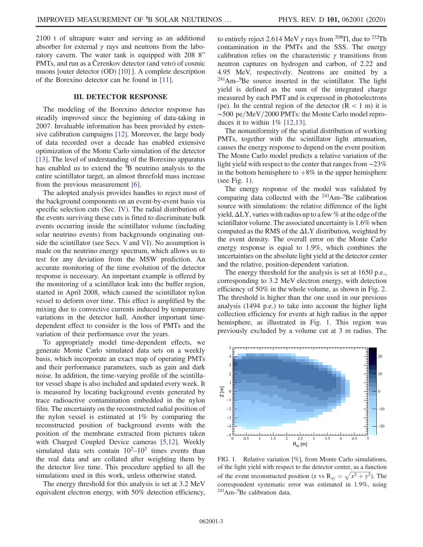2100 t of ultrapure water and serving as an additional absorber for external  $\gamma$  rays and neutrons from the laboratory cavern. The water tank is equipped with 208 8" PMTs, and run as a Čerenkov detector (and veto) of cosmic muons [outer detector (OD) [\[10\]](#page-12-5) ]. A complete description of the Borexino detector can be found in [\[11\].](#page-12-6)

### III. DETECTOR RESPONSE

<span id="page-2-0"></span>The modeling of the Borexino detector response has steadily improved since the beginning of data-taking in 2007. Invaluable information has been provided by extensive calibration campaigns [\[12\]](#page-12-7). Moreover, the large body of data recorded over a decade has enabled extensive optimization of the Monte Carlo simulation of the detector [\[13\]](#page-12-8). The level of understanding of the Borexino apparatus has enabled us to extend the <sup>8</sup>B neutrino analysis to the entire scintillator target, an almost threefold mass increase from the previous measurement [\[6\]](#page-12-2).

The adopted analysis provides handles to reject most of the background components on an event-by-event basis via specific selection cuts (Sec. [IV](#page-3-0)). The radial distribution of the events surviving these cuts is fitted to discriminate bulk events occurring inside the scintillator volume (including solar neutrino events) from backgrounds originating outside the scintillator (see Secs. [V](#page-4-0) and [VI\)](#page-8-0). No assumption is made on the neutrino energy spectrum, which allows us to test for any deviation from the MSW prediction. An accurate monitoring of the time evolution of the detector response is necessary. An important example is offered by the monitoring of a scintillator leak into the buffer region, started in April 2008, which caused the scintillator nylon vessel to deform over time. This effect is amplified by the mixing due to convective currents induced by temperature variations in the detector hall. Another important timedependent effect to consider is the loss of PMTs and the variation of their performance over the years.

To appropriately model time-dependent effects, we generate Monte Carlo simulated data sets on a weekly basis, which incorporate an exact map of operating PMTs and their performance parameters, such as gain and dark noise. In addition, the time-varying profile of the scintillator vessel shape is also included and updated every week. It is measured by locating background events generated by trace radioactive contamination embedded in the nylon film. The uncertainty on the reconstructed radial position of the nylon vessel is estimated at 1% by comparing the reconstructed position of background events with the position of the membrane extracted from pictures taken with Charged Coupled Device cameras [\[5,12\]](#page-12-9). Weekly simulated data sets contain  $10^2$ – $10^3$  times events than the real data and are collated after weighting them by the detector live time. This procedure applied to all the simulations used in this work, unless otherwise stated.

The energy threshold for this analysis is set at 3.2 MeV equivalent electron energy, with 50% detection efficiency, to entirely reject 2.614 MeV  $\gamma$  rays from <sup>208</sup>Tl, due to <sup>232</sup>Th contamination in the PMTs and the SSS. The energy calibration relies on the characteristic  $\gamma$  transitions from neutron captures on hydrogen and carbon, of 2.22 and 4.95 MeV, respectively. Neutrons are emitted by a <sup>241</sup>Am–<sup>9</sup> Be source inserted in the scintillator. The light yield is defined as the sum of the integrated charge measured by each PMT and is expressed in photoelectrons (pe). In the central region of the detector  $(R < 1 m)$  it is  $\sim$ 500 pe/MeV/2000 PMTs: the Monte Carlo model reproduces it to within  $1\%$  [\[12,13\]](#page-12-7).

The nonuniformity of the spatial distribution of working PMTs, together with the scintillator light attenuation, causes the energy response to depend on the event position. The Monte Carlo model predicts a relative variation of the light yield with respect to the center that ranges from −23% in the bottom hemisphere to  $+8\%$  in the upper hemisphere (see Fig. [1\)](#page-2-1).

The energy response of the model was validated by comparing data collected with the <sup>241</sup>Am–<sup>9</sup>Be calibration source with simulations: the relative difference of the light yield,  $\Delta LY$ , varies with radius up to a few % at the edge of the scintillator volume. The associated uncertainty is 1.6% when computed as the RMS of the  $\Delta LY$  distribution, weighted by the event density. The overall error on the Monte Carlo energy response is equal to 1.9%, which combines the uncertainties on the absolute light yield at the detector center and the relative, position-dependent variation.

The energy threshold for the analysis is set at 1650 p.e., corresponding to 3.2 MeV electron energy, with detection efficiency of 50% in the whole volume, as shown in Fig. [2](#page-3-1). The threshold is higher than the one used in our previous analysis (1494 p.e.) to take into account the higher light collection efficiency for events at high radius in the upper hemisphere, as illustrated in Fig. [1](#page-2-1). This region was previously excluded by a volume cut at 3 m radius. The

<span id="page-2-1"></span>

FIG. 1. Relative variation [%], from Monte Carlo simulations, of the light yield with respect to the detector center, as a function of the event reconstructed position (z vs  $R_{xy} = \sqrt{x^2 + y^2}$ ). The correspondent systematic error was estimated in 1.9%, using <sup>241</sup>Am–<sup>9</sup> Be calibration data.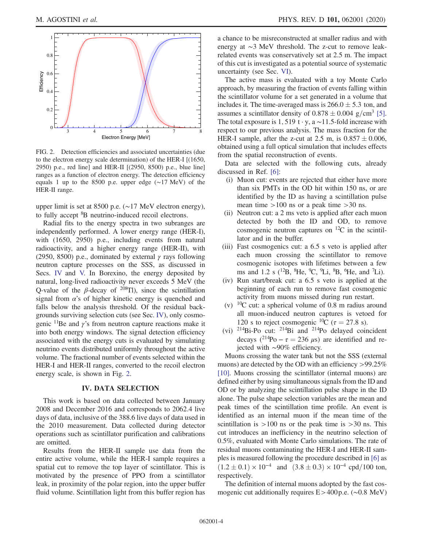<span id="page-3-1"></span>

FIG. 2. Detection efficiencies and associated uncertainties (due to the electron energy scale determination) of the HER-I [(1650, 2950) p.e., red line] and HER-II [(2950, 8500) p.e., blue line] ranges as a function of electron energy. The detection efficiency equals 1 up to the 8500 p.e. upper edge (∼17 MeV) of the HER-II range.

upper limit is set at 8500 p.e. (∼17 MeV electron energy), to fully accept <sup>8</sup>B neutrino-induced recoil electrons.

Radial fits to the energy spectra in two subranges are independently performed. A lower energy range (HER-I), with (1650, 2950) p.e., including events from natural radioactivity, and a higher energy range (HER-II), with (2950, 8500) p.e., dominated by external  $\gamma$  rays following neutron capture processes on the SSS, as discussed in Secs. [IV](#page-3-0) and [V.](#page-4-0) In Borexino, the energy deposited by natural, long-lived radioactivity never exceeds 5 MeV (the Q-value of the  $\beta$ -decay of <sup>208</sup>Tl), since the scintillation signal from  $\alpha$ 's of higher kinetic energy is quenched and falls below the analysis threshold. Of the residual backgrounds surviving selection cuts (see Sec. [IV](#page-3-0)), only cosmogenic  $\frac{11}{8}$ Be and  $\gamma$ 's from neutron capture reactions make it into both energy windows. The signal detection efficiency associated with the energy cuts is evaluated by simulating neutrino events distributed uniformly throughout the active volume. The fractional number of events selected within the HER-I and HER-II ranges, converted to the recoil electron energy scale, is shown in Fig. [2.](#page-3-1)

## IV. DATA SELECTION

<span id="page-3-0"></span>This work is based on data collected between January 2008 and December 2016 and corresponds to 2062.4 live days of data, inclusive of the 388.6 live days of data used in the 2010 measurement. Data collected during detector operations such as scintillator purification and calibrations are omitted.

Results from the HER-II sample use data from the entire active volume, while the HER-I sample requires a spatial cut to remove the top layer of scintillator. This is motivated by the presence of PPO from a scintillator leak, in proximity of the polar region, into the upper buffer fluid volume. Scintillation light from this buffer region has a chance to be misreconstructed at smaller radius and with energy at ∼3 MeV threshold. The z-cut to remove leakrelated events was conservatively set at 2.5 m. The impact of this cut is investigated as a potential source of systematic uncertainty (see Sec. [VI\)](#page-8-0).

The active mass is evaluated with a toy Monte Carlo approach, by measuring the fraction of events falling within the scintillator volume for a set generated in a volume that includes it. The time-averaged mass is  $266.0 \pm 5.3$  ton, and assumes a scintillator density of  $0.878 \pm 0.004$  g/cm<sup>3</sup> [\[5\]](#page-12-9). The total exposure is 1, 519 t · y, a ~11.5-fold increase with respect to our previous analysis. The mass fraction for the HER-I sample, after the z-cut at 2.5 m, is  $0.857 \pm 0.006$ , obtained using a full optical simulation that includes effects from the spatial reconstruction of events.

Data are selected with the following cuts, already discussed in Ref. [\[6\]:](#page-12-2)

- (i) Muon cut: events are rejected that either have more than six PMTs in the OD hit within 150 ns, or are identified by the ID as having a scintillation pulse mean time  $>100$  ns or a peak time  $>30$  ns.
- (ii) Neutron cut: a 2 ms veto is applied after each muon detected by both the ID and OD, to remove cosmogenic neutron captures on  $^{12}C$  in the scintillator and in the buffer.
- (iii) Fast cosmogenics cut: a 6.5 s veto is applied after each muon crossing the scintillator to remove cosmogenic isotopes with lifetimes between a few ms and 1.2 s ( $^{12}B$ ,  $^{8}He$ ,  $^{9}C$ ,  $^{9}Li$ ,  $^{8}B$ ,  $^{6}He$ , and  $^{7}Li$ ).
- (iv) Run start/break cut: a 6.5 s veto is applied at the beginning of each run to remove fast cosmogenic activity from muons missed during run restart.
- (v)  $^{10}$ C cut: a spherical volume of 0.8 m radius around all muon-induced neutron captures is vetoed for 120 s to reject cosmogenic <sup>10</sup>C ( $\tau$  = 27.8 s).
- (vi)  $^{214}$ Bi-Po cut:  $^{214}$ Bi and  $^{214}$ Po delayed coincident decays  $(^{214}Po - \tau = 236 \mu s)$  are identified and rejected with ∼90% efficiency.

Muons crossing the water tank but not the SSS (external muons) are detected by the OD with an efficiency >99.25% [\[10\]](#page-12-5). Muons crossing the scintillator (internal muons) are defined either by using simultaneous signals from the ID and OD or by analyzing the scintillation pulse shape in the ID alone. The pulse shape selection variables are the mean and peak times of the scintillation time profile. An event is identified as an internal muon if the mean time of the scintillation is  $>100$  ns or the peak time is  $>30$  ns. This cut introduces an inefficiency in the neutrino selection of 0.5%, evaluated with Monte Carlo simulations. The rate of residual muons contaminating the HER-I and HER-II samples is measured following the procedure described in [\[6\]](#page-12-2) as  $(1.2 \pm 0.1) \times 10^{-4}$  and  $(3.8 \pm 0.3) \times 10^{-4}$  cpd/100 ton, respectively.

The definition of internal muons adopted by the fast cosmogenic cut additionally requires E>400p:e: (∼0.8 MeV)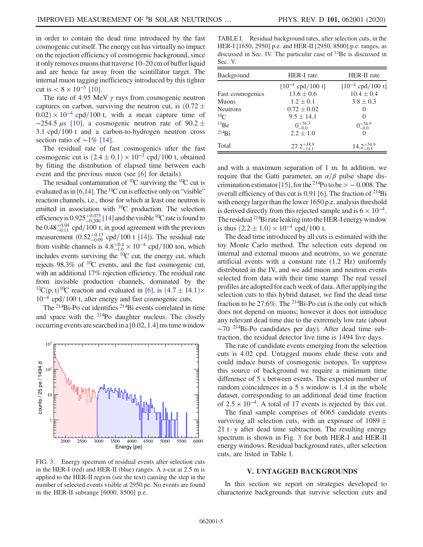in order to contain the dead time introduced by the fast cosmogenic cut itself. The energy cut has virtually no impact on the rejection efficiency of cosmogenic background, since it only removes muons that traverse 10–20 cm of buffer liquid and are hence far away from the scintillator target. The internal muon tagging inefficiency introduced by this tighter cut is  $< 8 \times 10^{-5}$  [\[10\]](#page-12-5).

The rate of 4.95 MeV  $\gamma$  rays from cosmogenic neutron captures on carbon, surviving the neutron cut, is  $(0.72 \pm 1)$  $(0.02) \times 10^{-4}$  cpd/100 t, with a mean capture time of ~254.5  $\mu$ s [\[10\]](#page-12-5), a cosmogenic neutron rate of 90.2 ±  $3.1 \text{ cpd}/100 \text{ t}$  and a carbon-to-hydrogen neutron cross section ratio of ∼1% [\[14\].](#page-12-10)

The residual rate of fast cosmogenics after the fast cosmogenic cut is  $(2.4 \pm 0.1) \times 10^{-3}$  cpd/100 t, obtained by fitting the distribution of elapsed time between each event and the previous muon (see [\[6\]](#page-12-2) for details).

The residual contamination of  ${}^{10}C$  surviving the  ${}^{10}C$  cut is evaluated as in [\[6,14\]](#page-12-2). The  ${}^{10}$ C cut is effective only on "visible" reaction channels, i.e., those for which at least one neutron is emitted in association with  ${}^{10}C$  production. The selection efficiency is  $0.925_{-0.200}^{+0.075}$  [\[14\]](#page-12-10) and the visible <sup>10</sup>C rate is found to be  $0.48^{+0.04}_{-0.11}$  cpd/100 t, in good agreement with the previous measurement  $(0.52^{+0.13}_{-0.09}$  cpd/100 t [\[14\]](#page-12-10)). The residual rate from visible channels is  $4.8^{+0.4}_{-1.0} \times 10^{-4}$  cpd/100 ton, which includes events surviving the  ${}^{10}C$  cut, the energy cut, which rejects  $98.3\%$  of  ${}^{10}$ C events, and the fast cosmogenic cut, with an additional 17% rejection efficiency. The residual rate from invisible production channels, dominated by the <sup>12</sup>C(p, t)<sup>10</sup>C reaction and evaluated in [\[6\],](#page-12-2) is  $(4.7 \pm 14.1) \times$  $10^{-4}$  cpd/100 t, after energy and fast cosmogenic cuts.

The <sup>214</sup>Bi-Po cut identifies <sup>214</sup>Bi events correlated in time and space with the <sup>214</sup>Po daughter nucleus. The closely occurring events are searched in a [0.02, 1.4] ms time window

<span id="page-4-1"></span>

FIG. 3. Energy spectrum of residual events after selection cuts in the HER-I (red) and HER-II (blue) ranges. A z-cut at 2.5 m is applied to the HER-II region (see the text) causing the step in the number of selected events visible at 2950 pe. No events are found in the HER-II subrange [6000, 8500] p.e.

<span id="page-4-2"></span>TABLE I. Residual background rates, after selection cuts, in the HER-I [1650, 2950] p.e. and HER-II [2950, 8500] p.e. ranges, as discussed in Sec. [IV.](#page-3-0) The particular case of <sup>11</sup>Be is discussed in Sec. [V.](#page-4-0)

| Background       | <b>HER-I</b> rate      | HER-II rate           |  |
|------------------|------------------------|-----------------------|--|
|                  | $[10^{-4}$ cpd/100 t]  | $[10^{-4}$ cpd/100 t] |  |
| Fast cosmogenics | $13.6 \pm 0.6$         | $10.4 \pm 0.4$        |  |
| Muons            | $1.2 \pm 0.1$          | $3.8 \pm 0.3$         |  |
| <b>Neutrons</b>  | $0.72 \pm 0.02$        | $\left( \right)$      |  |
| ${}^{10}C$       | $9.5 \pm 14.1$         | $\left( \right)$      |  |
| $^{11}Be$        | $0^{+36.3}_{-0.0}$     | $0^{+54.9}_{-0.0}$    |  |
| $^{214}Bi$       | $2.2 \pm 1.0$          | $\theta$              |  |
| Total            | $27.2^{+38.9}_{-14.1}$ | $14.2^{+54.9}_{-0.5}$ |  |

and with a maximum separation of 1 m. In addition, we require that the Gatti parameter, an  $\alpha/\beta$  pulse shape dis-crimination estimator [\[15\]](#page-12-11), for the <sup>214</sup>Po to be >  $-0.008$ . The overall efficiency of this cut is 0.91 [\[6\].](#page-12-2) The fraction of  $^{214}Bi$ with energy larger than the lower 1650 p.e. analysis threshold is derived directly from this rejected sample and is  $6 \times 10^{-4}$ . The residual  $^{214}$ Bi rate leaking into the HER-I energy window is thus  $(2.2 \pm 1.0) \times 10^{-4}$  cpd/100 t.

The dead time introduced by all cuts is estimated with the toy Monte Carlo method. The selection cuts depend on internal and external muons and neutrons, so we generate artificial events with a constant rate (1.2 Hz) uniformly distributed in the IV, and we add muon and neutron events selected from data with their time stamp. The real vessel profiles are adopted for each week of data. After applying the selection cuts to this hybrid dataset, we find the dead time fraction to be 27.6%. The <sup>214</sup>Bi-Po cut is the only cut which does not depend on muons; however it does not introduce any relevant dead time due to the extremely low rate (about  $\sim$ 70<sup>214</sup>Bi-Po candidates per day). After dead time subtraction, the residual detector live time is 1494 live days.

The rate of candidate events emerging from the selection cuts is 4.02 cpd. Untagged muons elude these cuts and could induce bursts of cosmogenic isotopes. To suppress this source of background we require a minimum time difference of 5 s between events. The expected number of random coincidences in a 5 s window is 1.4 in the whole dataset, corresponding to an additional dead time fraction of  $2.5 \times 10^{-4}$ . A total of 17 events is rejected by this cut.

The final sample comprises of 6065 candidate events surviving all selection cuts, with an exposure of  $1089 \pm$ 21 t  $\cdot$  y after dead time subtraction. The resulting energy spectrum is shown in Fig. [3](#page-4-1) for both HER-I and HER-II energy windows. Residual background rates, after selection cuts, are listed in Table [I.](#page-4-2)

### V. UNTAGGED BACKGROUNDS

<span id="page-4-0"></span>In this section we report on strategies developed to characterize backgrounds that survive selection cuts and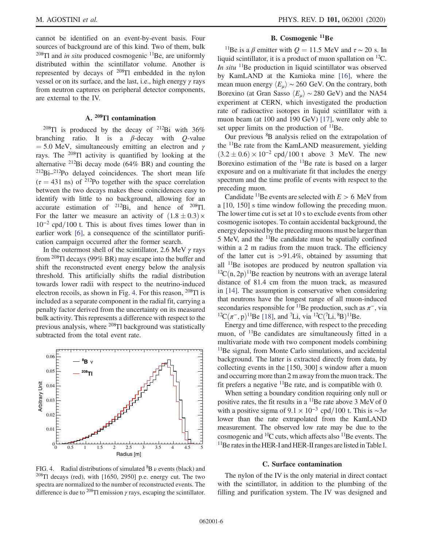cannot be identified on an event-by-event basis. Four sources of background are of this kind. Two of them, bulk  $^{208}$ Tl and *in situ* produced cosmogenic <sup>11</sup>Be, are uniformly distributed within the scintillator volume. Another is represented by decays of <sup>208</sup>Tl embedded in the nylon vessel or on its surface, and the last, i.e., high energy γ rays from neutron captures on peripheral detector components, are external to the IV.

## A. <sup>208</sup>Tl contamination

<sup>208</sup>Tl is produced by the decay of <sup>212</sup>Bi with  $36\%$ branching ratio. It is a  $\beta$ -decay with Q-value  $=$  5.0 MeV, simultaneously emitting an electron and  $\gamma$ rays. The <sup>208</sup>Tl activity is quantified by looking at the alternative <sup>212</sup>Bi decay mode (64% BR) and counting the  $212Bi-212Po$  delayed coincidences. The short mean life  $(\tau = 431 \text{ ns})$  of <sup>212</sup>Po together with the space correlation between the two decays makes these coincidences easy to identify with little to no background, allowing for an accurate estimation of  $^{212}Bi$ , and hence of  $^{208}Ti$ . For the latter we measure an activity of  $(1.8 \pm 0.3) \times$  $10^{-2}$  cpd/100 t. This is about fives times lower than in earlier work [\[6\]](#page-12-2), a consequence of the scintillator purification campaign occurred after the former search.

In the outermost shell of the scintillator, 2.6 MeV  $\gamma$  rays from <sup>208</sup>Tl decays (99% BR) may escape into the buffer and shift the reconstructed event energy below the analysis threshold. This artificially shifts the radial distribution towards lower radii with respect to the neutrino-induced electron recoils, as shown in Fig. [4](#page-5-0). For this reason, <sup>208</sup>Tl is included as a separate component in the radial fit, carrying a penalty factor derived from the uncertainty on its measured bulk activity. This represents a difference with respect to the previous analysis, where <sup>208</sup>Tl background was statistically subtracted from the total event rate.

<span id="page-5-0"></span>

FIG. 4. Radial distributions of simulated  ${}^{8}B \nu$  events (black) and  $208$ Tl decays (red), with [1650, 2950] p.e. energy cut. The two spectra are normalized to the number of reconstructed events. The difference is due to <sup>208</sup>Tl emission  $\gamma$  rays, escaping the scintillator.

## B. Cosmogenic <sup>11</sup>Be

<sup>11</sup>Be is a β emitter with  $Q = 11.5$  MeV and  $\tau \sim 20$  s. In liquid scintillator, it is a product of muon spallation on <sup>12</sup>C. In situ  $11Be$  production in liquid scintillator was observed by KamLAND at the Kamioka mine [\[16\]](#page-12-12), where the mean muon energy  $\langle E_u \rangle \sim 260$  GeV. On the contrary, both Borexino (at Gran Sasso  $\langle E_\mu \rangle \sim 280$  GeV) and the NA54 experiment at CERN, which investigated the production rate of radioactive isotopes in liquid scintillator with a muon beam (at 100 and 190 GeV) [\[17\],](#page-12-13) were only able to set upper limits on the production of  $^{11}$ Be.

Our previous <sup>8</sup>B analysis relied on the extrapolation of the <sup>11</sup>Be rate from the KamLAND measurement, yielding  $(3.2 \pm 0.6) \times 10^{-2}$  cpd/100 t above 3 MeV. The new Borexino estimation of the <sup>11</sup>Be rate is based on a larger exposure and on a multivariate fit that includes the energy spectrum and the time profile of events with respect to the preceding muon.

Candidate <sup>11</sup>Be events are selected with  $E > 6$  MeV from a [10, 150] s time window following the preceding muon. The lower time cut is set at 10 s to exclude events from other cosmogenic isotopes. To contain accidental background, the energy deposited by the preceding muons must be larger than 5 MeV, and the <sup>11</sup>Be candidate must be spatially confined within a 2 m radius from the muon track. The efficiency of the latter cut is  $>91.4\%$ , obtained by assuming that all  $11Be$  isotopes are produced by neutron spallation via  ${}^{12}C(n, 2p)$ <sup>11</sup>Be reaction by neutrons with an average lateral distance of 81.4 cm from the muon track, as measured in [\[14\].](#page-12-10) The assumption is conservative when considering that neutrons have the longest range of all muon-induced secondaries responsible for <sup>11</sup>Be production, such as  $\pi^-$ , via  ${}^{12}C(\pi^-, p)^{11}$ Be [\[18\]](#page-12-14), and <sup>7</sup>Li, via <sup>12</sup>C(<sup>7</sup>Li, <sup>8</sup>B)<sup>11</sup>Be.

Energy and time difference, with respect to the preceding muon, of <sup>11</sup>Be candidates are simultaneously fitted in a multivariate mode with two component models combining <sup>11</sup>Be signal, from Monte Carlo simulations, and accidental background. The latter is extracted directly from data, by collecting events in the [150, 300] s window after a muon and occurring more than 2 m away from the muon track. The fit prefers a negative  $11$ Be rate, and is compatible with 0.

When setting a boundary condition requiring only null or positive rates, the fit results in a  $11Be$  rate above 3 MeV of 0 with a positive sigma of  $9.1 \times 10^{-3}$  cpd/100 t. This is ~3 $\sigma$ lower than the rate extrapolated from the KamLAND measurement. The observed low rate may be due to the cosmogenic and  ${}^{10}C$  cuts, which affects also  ${}^{11}Be$  events. The <sup>11</sup>Be rates in the HER-[I](#page-4-2) and HER-II ranges are listed in Table I.

#### C. Surface contamination

The nylon of the IV is the only material in direct contact with the scintillator, in addition to the plumbing of the filling and purification system. The IV was designed and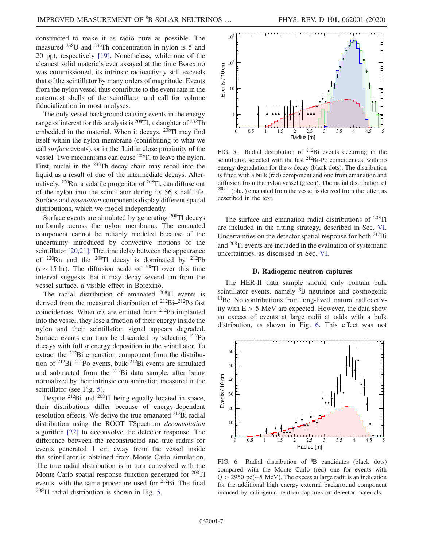constructed to make it as radio pure as possible. The measured <sup>238</sup>U and <sup>232</sup>Th concentration in nylon is 5 and 20 ppt, respectively [\[19\].](#page-12-15) Nonetheless, while one of the cleanest solid materials ever assayed at the time Borexino was commissioned, its intrinsic radioactivity still exceeds that of the scintillator by many orders of magnitude. Events from the nylon vessel thus contribute to the event rate in the outermost shells of the scintillator and call for volume fiducialization in most analyses.

The only vessel background causing events in the energy range of interest for this analysis is  $^{208}$ Tl, a daughter of  $^{232}$ Th embedded in the material. When it decays, <sup>208</sup>Tl may find itself within the nylon membrane (contributing to what we call surface events), or in the fluid in close proximity of the vessel. Two mechanisms can cause <sup>208</sup>Tl to leave the nylon. First, nuclei in the <sup>232</sup>Th decay chain may recoil into the liquid as a result of one of the intermediate decays. Alternatively,  $^{220}$ Rn, a volatile progenitor of  $^{208}$ Tl, can diffuse out of the nylon into the scintillator during its 56 s half life. Surface and emanation components display different spatial distributions, which we model independently.

Surface events are simulated by generating  $^{208}$ Tl decays uniformly across the nylon membrane. The emanated component cannot be reliably modeled because of the uncertainty introduced by convective motions of the scintillator [\[20,21\].](#page-12-16) The time delay between the appearance of  $^{220}$ Rn and the  $^{208}$ Tl decay is dominated by  $^{212}$ Pb  $(\tau \sim 15 \text{ hr})$ . The diffusion scale of <sup>208</sup>Tl over this time interval suggests that it may decay several cm from the vessel surface, a visible effect in Borexino.

The radial distribution of emanated <sup>208</sup>Tl events is derived from the measured distribution of <sup>212</sup>Bi–<sup>212</sup>Po fast coincidences. When  $\alpha$ 's are emitted from <sup>212</sup>Po implanted into the vessel, they lose a fraction of their energy inside the nylon and their scintillation signal appears degraded. Surface events can thus be discarded by selecting  $^{212}Po$ decays with full  $\alpha$  energy deposition in the scintillator. To extract the <sup>212</sup>Bi emanation component from the distribution of <sup>212</sup>Bi–<sup>212</sup>Po events, bulk <sup>212</sup>Bi events are simulated and subtracted from the  $^{212}$ Bi data sample, after being normalized by their intrinsic contamination measured in the scintillator (see Fig. [5](#page-6-0)).

Despite <sup>212</sup>Bi and <sup>208</sup>Tl being equally located in space, their distributions differ because of energy-dependent resolution effects. We derive the true emanated <sup>212</sup>Bi radial distribution using the ROOT TSpectrum deconvolution algorithm [\[22\]](#page-12-17) to deconvolve the detector response. The difference between the reconstructed and true radius for events generated 1 cm away from the vessel inside the scintillator is obtained from Monte Carlo simulation. The true radial distribution is in turn convolved with the Monte Carlo spatial response function generated for <sup>208</sup>Tl events, with the same procedure used for  $2^{12}$ Bi. The final <sup>208</sup>Tl radial distribution is shown in Fig. [5](#page-6-0).

<span id="page-6-0"></span>

FIG. 5. Radial distribution of <sup>212</sup>Bi events occurring in the scintillator, selected with the fast <sup>212</sup>Bi-Po coincidences, with no energy degradation for the  $\alpha$  decay (black dots). The distribution is fitted with a bulk (red) component and one from emanation and diffusion from the nylon vessel (green). The radial distribution of  $208$ Tl (blue) emanated from the vessel is derived from the latter, as described in the text.

The surface and emanation radial distributions of <sup>208</sup>Tl are included in the fitting strategy, described in Sec. [VI](#page-8-0). Uncertainties on the detector spatial response for both <sup>212</sup>Bi and <sup>208</sup>Tl events are included in the evaluation of systematic uncertainties, as discussed in Sec. [VI.](#page-8-0)

### D. Radiogenic neutron captures

The HER-II data sample should only contain bulk scintillator events, namely <sup>8</sup>B neutrinos and cosmogenic <sup>11</sup>Be. No contributions from long-lived, natural radioactivity with  $E > 5$  MeV are expected. However, the data show an excess of events at large radii at odds with a bulk distribution, as shown in Fig. [6.](#page-6-1) This effect was not

<span id="page-6-1"></span>

FIG. 6. Radial distribution of <sup>8</sup>B candidates (black dots) compared with the Monte Carlo (red) one for events with  $Q > 2950$  pe(~5 MeV). The excess at large radii is an indication for the additional high energy external background component induced by radiogenic neutron captures on detector materials.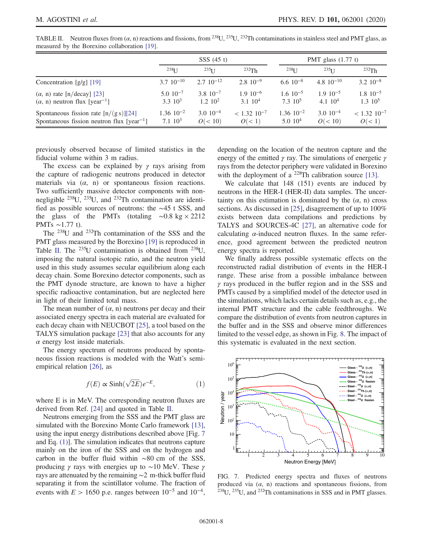|                                                                                                   | SSS(45 t)                           |                                      |                                         | PMT glass $(1.77 t)$                 |                                   |                                      |
|---------------------------------------------------------------------------------------------------|-------------------------------------|--------------------------------------|-----------------------------------------|--------------------------------------|-----------------------------------|--------------------------------------|
|                                                                                                   | $238$ <sup>T</sup>                  | $235$ $I$ $I$                        | 232Th                                   | $238$ [ J                            | $235$ [ J                         | $232$ Th                             |
| Concentration $[g/g]$ [19]                                                                        | $3.7 \cdot 10^{-10}$                | $2.7 \cdot 10^{-12}$                 | $2.8 \cdot 10^{-9}$                     | $6.610^{-8}$                         | 4.8 $10^{-10}$                    | $3.2 \cdot 10^{-8}$                  |
| $(\alpha, n)$ rate [n/decay] [23]<br>$(\alpha, n)$ neutron flux [year <sup>-1</sup> ]             | $5.0 \ 10^{-7}$<br>$3.3 \cdot 10^3$ | $3.8 \cdot 10^{-7}$<br>$1.2 \; 10^2$ | $1.9 \cdot 10^{-6}$<br>$3.1 \cdot 10^4$ | $1.6 \cdot 10^{-5}$<br>$7.3 \; 10^5$ | $1.9 \cdot 10^{-5}$<br>4.1 $10^4$ | $1.8 \cdot 10^{-5}$<br>$1.3 \; 10^5$ |
| Spontaneous fission rate $[n/(gs)][24]$<br>Spontaneous fission neutron flux [year <sup>-1</sup> ] | $1.36 \, 10^{-2}$<br>$7.1 \; 10^3$  | $3.0 \cdot 10^{-4}$<br>O(< 10)       | $< 1.32$ 10 <sup>-7</sup><br>O(< 1)     | $1.36 \ 10^{-2}$<br>$5.0 \; 10^4$    | $3.0 \ 10^{-4}$<br>O(< 10)        | $< 1.32$ 10 <sup>-7</sup><br>O(< 1)  |

<span id="page-7-0"></span>TABLE II. Neutron fluxes from  $(\alpha, n)$  reactions and fissions, from <sup>238</sup>U, <sup>235</sup>U, <sup>232</sup>Th contaminations in stainless steel and PMT glass, as measured by the Borexino collaboration [\[19\]](#page-12-15).

previously observed because of limited statistics in the fiducial volume within 3 m radius.

The excess can be explained by  $\gamma$  rays arising from the capture of radiogenic neutrons produced in detector materials via  $(\alpha, n)$  or spontaneous fission reactions. Two sufficiently massive detector components with nonnegligible  $^{238}U$ ,  $^{235}U$ , and  $^{232}Th$  contamination are identified as possible sources of neutrons: the ∼45 t SSS, and the glass of the PMTs (totaling ∼0.8 kg  $\times$  2212 PMTs ∼1.77 t).

The <sup>238</sup>U and <sup>232</sup>Th contamination of the SSS and the PMT glass measured by the Borexino [\[19\]](#page-12-15) is reproduced in Table [II](#page-7-0). The  $^{235}U$  contamination is obtained from  $^{238}U$ , imposing the natural isotopic ratio, and the neutron yield used in this study assumes secular equilibrium along each decay chain. Some Borexino detector components, such as the PMT dynode structure, are known to have a higher specific radioactive contamination, but are neglected here in light of their limited total mass.

The mean number of  $(\alpha, n)$  neutrons per decay and their associated energy spectra in each material are evaluated for each decay chain with NEUCBOT [\[25\],](#page-12-18) a tool based on the TALYS simulation package [\[23\]](#page-12-19) that also accounts for any  $\alpha$  energy lost inside materials.

<span id="page-7-2"></span>The energy spectrum of neutrons produced by spontaneous fission reactions is modeled with the Watt's semiempirical relation [\[26\]](#page-13-0), as

$$
f(E) \propto \sinh(\sqrt{2E})e^{-E}, \qquad (1)
$$

where E is in MeV. The corresponding neutron fluxes are derived from Ref. [\[24\]](#page-12-20) and quoted in Table [II](#page-7-0).

Neutrons emerging from the SSS and the PMT glass are simulated with the Borexino Monte Carlo framework [\[13\]](#page-12-8), using the input energy distributions described above [Fig. [7](#page-7-1) and Eq. [\(1\)](#page-7-2)]. The simulation indicates that neutrons capture mainly on the iron of the SSS and on the hydrogen and carbon in the buffer fluid within ∼80 cm of the SSS, producing  $\gamma$  rays with energies up to ~10 MeV. These  $\gamma$ rays are attenuated by the remaining ∼2 m-thick buffer fluid separating it from the scintillator volume. The fraction of events with  $E > 1650$  p.e. ranges between  $10^{-5}$  and  $10^{-4}$ ,

depending on the location of the neutron capture and the energy of the emitted  $\gamma$  ray. The simulations of energetic  $\gamma$ rays from the detector periphery were validated in Borexino with the deployment of a <sup>228</sup>Th calibration source [\[13\]](#page-12-8).

We calculate that 148 (151) events are induced by neutrons in the HER-I (HER-II) data samples. The uncertainty on this estimation is dominated by the  $(\alpha, n)$  cross sections. As discussed in [\[25\],](#page-12-18) disagreement of up to 100% exists between data compilations and predictions by TALYS and SOURCES-4C [\[27\],](#page-13-1) an alternative code for calculating  $\alpha$ -induced neutron fluxes. In the same reference, good agreement between the predicted neutron energy spectra is reported.

We finally address possible systematic effects on the reconstructed radial distribution of events in the HER-I range. These arise from a possible imbalance between  $\gamma$  rays produced in the buffer region and in the SSS and PMTs caused by a simplified model of the detector used in the simulations, which lacks certain details such as, e.g., the internal PMT structure and the cable feedthroughs. We compare the distribution of events from neutron captures in the buffer and in the SSS and observe minor differences limited to the vessel edge, as shown in Fig. [8.](#page-8-1) The impact of this systematic is evaluated in the next section.

<span id="page-7-1"></span>

FIG. 7. Predicted energy spectra and fluxes of neutrons produced via  $(\alpha, n)$  reactions and spontaneous fissions, from <sup>238</sup>U, <sup>235</sup>U, and <sup>232</sup>Th contaminations in SSS and in PMT glasses.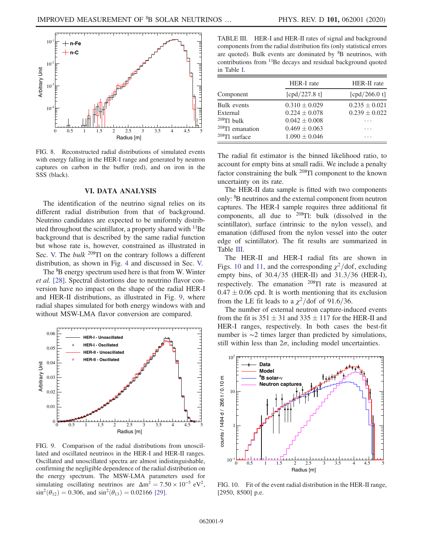<span id="page-8-1"></span>

FIG. 8. Reconstructed radial distributions of simulated events with energy falling in the HER-I range and generated by neutron captures on carbon in the buffer (red), and on iron in the SSS (black).

## VI. DATA ANALYSIS

<span id="page-8-0"></span>The identification of the neutrino signal relies on its different radial distribution from that of background. Neutrino candidates are expected to be uniformly distributed throughout the scintillator, a property shared with  $\rm{^{11}Be}$ background that is described by the same radial function but whose rate is, however, constrained as illustrated in Sec. [V.](#page-4-0) The *bulk* <sup>208</sup>Tl on the contrary follows a different distribution, as shown in Fig. [4](#page-5-0) and discussed in Sec. [V.](#page-4-0)

The <sup>8</sup>B energy spectrum used here is that from W. Winter et al. [\[28\].](#page-13-2) Spectral distortions due to neutrino flavor conversion have no impact on the shape of the radial HER-I and HER-II distributions, as illustrated in Fig. [9](#page-8-2), where radial shapes simulated for both energy windows with and without MSW-LMA flavor conversion are compared.

<span id="page-8-2"></span>

FIG. 9. Comparison of the radial distributions from unoscillated and oscillated neutrinos in the HER-I and HER-II ranges. Oscillated and unoscillated spectra are almost indistinguishable, confirming the negligible dependence of the radial distribution on the energy spectrum. The MSW-LMA parameters used for simulating oscillating neutrinos are  $\Delta m^2 = 7.50 \times 10^{-5} \text{ eV}^2$ ,  $\sin^2(\theta_{12}) = 0.306$ , and  $\sin^2(\theta_{13}) = 0.02166$  [\[29\]](#page-13-3).

<span id="page-8-3"></span>TABLE III. HER-I and HER-II rates of signal and background components from the radial distribution fits (only statistical errors are quoted). Bulk events are dominated by  ${}^{8}B$  neutrinos, with contributions from <sup>11</sup>Be decays and residual background quoted in Table [I.](#page-4-2)

|                    | HER-I rate        | HER-II rate       |  |  |
|--------------------|-------------------|-------------------|--|--|
| Component          | [cpd/227.8 t]     | [cpd/266.0 t]     |  |  |
| Bulk events        | $0.310 \pm 0.029$ | $0.235 \pm 0.021$ |  |  |
| External           | $0.224 \pm 0.078$ | $0.239 \pm 0.022$ |  |  |
| $208$ Tl bulk      | $0.042 \pm 0.008$ |                   |  |  |
| $208$ Tl emanation | $0.469 \pm 0.063$ | .                 |  |  |
| $208$ Tl surface   | $1.090 \pm 0.046$ |                   |  |  |

The radial fit estimator is the binned likelihood ratio, to account for empty bins at small radii. We include a penalty factor constraining the bulk  $^{208}$ Tl component to the known uncertainty on its rate.

The HER-II data sample is fitted with two components only: <sup>8</sup>B neutrinos and the external component from neutron captures. The HER-I sample requires three additional fit components, all due to  $^{208}$ Tl: bulk (dissolved in the scintillator), surface (intrinsic to the nylon vessel), and emanation (diffused from the nylon vessel into the outer edge of scintillator). The fit results are summarized in Table [III](#page-8-3).

The HER-II and HER-I radial fits are shown in Figs. [10](#page-8-4) and [11](#page-9-0), and the corresponding  $\chi^2$ /dof, excluding empty bins, of  $30.4/35$  (HER-II) and  $31.3/36$  (HER-I), respectively. The emanation <sup>208</sup>Tl rate is measured at  $0.47 \pm 0.06$  cpd. It is worth mentioning that its exclusion from the LE fit leads to a  $\chi^2$ /dof of 91.6/36.

The number of external neutron capture-induced events from the fit is  $351 \pm 31$  and  $335 \pm 117$  for the HER-II and HER-I ranges, respectively. In both cases the best-fit number is ∼2 times larger than predicted by simulations, still within less than  $2\sigma$ , including model uncertainties.

<span id="page-8-4"></span>

FIG. 10. Fit of the event radial distribution in the HER-II range, [2950, 8500] p.e.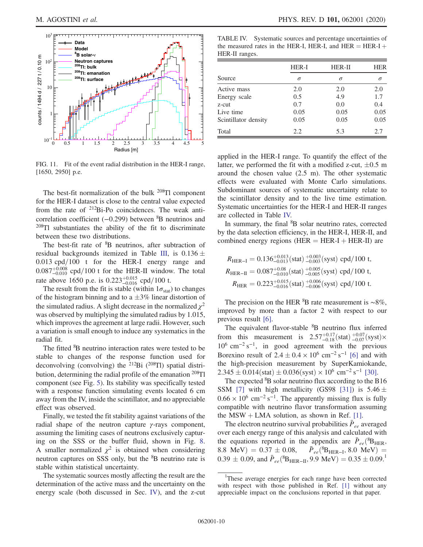<span id="page-9-0"></span>

FIG. 11. Fit of the event radial distribution in the HER-I range, [1650, 2950] p.e.

The best-fit normalization of the bulk <sup>208</sup>Tl component for the HER-I dataset is close to the central value expected from the rate of  $2^{12}$ Bi-Po coincidences. The weak anticorrelation coefficient (-0.299) between <sup>8</sup>B neutrinos and  $208$ Tl substantiates the ability of the fit to discriminate between these two distributions.

The best-fit rate of <sup>8</sup>B neutrinos, after subtraction of residual backgrounds itemized in Table [III](#page-8-3), is  $0.136 \pm$  $0.013$  cpd/ $100$  t for the HER-I energy range and  $0.087^{+0.008}_{-0.010}$  cpd/100 t for the HER-II window. The total rate above 1650 p.e. is  $0.223^{+0.015}_{-0.016}$  cpd/100 t.

The result from the fit is stable (within  $1\sigma_{\text{stat}}$ ) to changes of the histogram binning and to a  $\pm 3\%$  linear distortion of the simulated radius. A slight decrease in the normalized  $\chi^2$ was observed by multiplying the simulated radius by 1.015, which improves the agreement at large radii. However, such a variation is small enough to induce any systematics in the radial fit.

The fitted <sup>8</sup>B neutrino interaction rates were tested to be stable to changes of the response function used for deconvolving (convolving) the  $^{212}Bi$  ( $^{208}Ti$ ) spatial distribution, determining the radial profile of the emanation  $^{208}$ Tl component (see Fig. [5](#page-6-0)). Its stability was specifically tested with a response function simulating events located 6 cm away from the IV, inside the scintillator, and no appreciable effect was observed.

Finally, we tested the fit stability against variations of the radial shape of the neutron capture γ-rays component, assuming the limiting cases of neutrons exclusively capturing on the SSS or the buffer fluid, shown in Fig. [8](#page-8-1). A smaller normalized  $\chi^2$  is obtained when considering neutron captures on SSS only, but the <sup>8</sup>B neutrino rate is stable within statistical uncertainty.

The systematic sources mostly affecting the result are the determination of the active mass and the uncertainty on the energy scale (both discussed in Sec. [IV](#page-3-0)), and the z-cut

<span id="page-9-1"></span>TABLE IV. Systematic sources and percentage uncertainties of the measured rates in the HER-I, HER-I, and HER  $=$  HER-I  $+$ HER-II ranges.

|                      | HER-I    | <b>HER-II</b> | <b>HER</b> |
|----------------------|----------|---------------|------------|
| Source               | $\sigma$ | σ             | σ          |
| Active mass          | 2.0      | 2.0           | 2.0        |
| Energy scale         | 0.5      | 4.9           | 1.7        |
| z-cut                | 0.7      | 0.0           | 0.4        |
| Live time            | 0.05     | 0.05          | 0.05       |
| Scintillator density | 0.05     | 0.05          | 0.05       |
| Total                | 2.2.     | 5.3           | 2.7        |

applied in the HER-I range. To quantify the effect of the latter, we performed the fit with a modified z-cut,  $\pm 0.5$  m around the chosen value (2.5 m). The other systematic effects were evaluated with Monte Carlo simulations. Subdominant sources of systematic uncertainty relate to the scintillator density and to the live time estimation. Systematic uncertainties for the HER-I and HER-II ranges are collected in Table [IV.](#page-9-1)

In summary, the final <sup>8</sup>B solar neutrino rates, corrected by the data selection efficiency, in the HER-I, HER-II, and combined energy regions (HER  $=$  HER-I  $+$  HER-II) are

$$
R_{\text{HER-I}} = 0.136^{+0.013}_{-0.013} \text{(stat)} \, ^{+0.003}_{-0.003} \text{(syst)} \text{ cpd}/100 \text{ t},
$$
\n
$$
R_{\text{HER-II}} = 0.087^{+0.08}_{-0.010} \text{(stat)} \, ^{+0.005}_{-0.005} \text{(syst)} \text{ cpd}/100 \text{ t},
$$
\n
$$
R_{\text{HER}} = 0.223^{+0.015}_{-0.016} \text{(stat)} \, ^{+0.006}_{-0.006} \text{(syst)} \text{ cpd}/100 \text{ t}.
$$

The precision on the HER  ${}^{8}B$  rate measurement is ~8%, improved by more than a factor 2 with respect to our previous result [\[6\].](#page-12-2)

The equivalent flavor-stable <sup>8</sup>B neutrino flux inferred from this measurement is  $2.57^{+0.17}_{-0.18}$  (stat)  $^{+0.07}_{-0.07}$  (syst)×  $10^6$  cm<sup>-2</sup> s<sup>-1</sup>, in good agreement with the previous Borexino result of  $2.4 \pm 0.4 \times 10^6$  cm<sup>-2</sup> s<sup>-1</sup> [\[6\]](#page-12-2) and with the high-precision measurement by SuperKamiokande,  $2.345 \pm 0.014$ (stat)  $\pm 0.036$ (syst) × 10<sup>6</sup> cm<sup>-2</sup> s<sup>-1</sup> [\[30\]](#page-13-4).

The expected  ${}^{8}B$  solar neutrino flux according to the B16 SSM [\[7\]](#page-12-3) with high metallicity (GS98 [\[31\]](#page-13-5)) is  $5.46 \pm$  $0.66 \times 10^6$  cm<sup>-2</sup> s<sup>-1</sup>. The apparently missing flux is fully compatible with neutrino flavor transformation assuming the MSW  $+$  LMA solution, as shown in Ref. [\[1\].](#page-12-0)

The electron neutrino survival probabilities  $\bar{P}_{ee}$  averaged over each energy range of this analysis and calculated with the equations reported in the appendix are  $\bar{P}_{ee}$  ( ${}^{8}B_{HER}$ , 8.8 MeV) =  $0.37 \pm 0.08$ ,  $\bar{P}_{ee}$ ( ${}^{8}B_{HER-I}$ , 8.0 MeV) =  $0.39 \pm 0.09$ , and  $\bar{P}_{ee}$ ( ${}^{8}B_{HER-II}$ , 9.9 MeV) =  $0.35 \pm 0.09$ .<sup>1</sup>

<sup>&</sup>lt;sup>1</sup>These average energies for each range have been corrected with respect with those published in Ref. [\[1\]](#page-12-0) without any appreciable impact on the conclusions reported in that paper.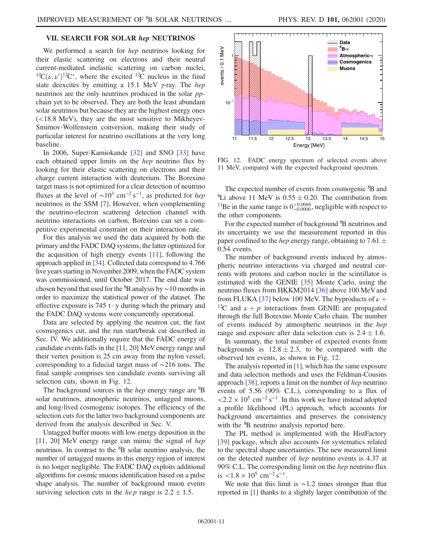## <span id="page-10-0"></span>VII. SEARCH FOR SOLAR hep NEUTRINOS

We performed a search for *hep* neutrinos looking for their elastic scattering on electrons and their neutral current-mediated inelastic scattering on carbon nuclei, <sup>12</sup>C $(\nu, \nu')$ <sup>12</sup>C<sup>\*</sup>, where the excited <sup>12</sup>C nucleus in the final state deexcites by emitting a 15.1 MeV  $\gamma$ -ray. The *hep* neutrinos are the only neutrinos produced in the solar *pp*chain yet to be observed. They are both the least abundant solar neutrinos but because they are the highest energy ones (<18.8 MeV), they are the most sensitive to Mikheyev-Smirnov-Wolfenstein conversion, making their study of particular interest for neutrino oscillations at the very long baseline.

In 2006, Super-Kamiokande [\[32\]](#page-13-6) and SNO [\[33\]](#page-13-7) have each obtained upper limits on the *hep* neutrino flux by looking for their elastic scattering on electrons and their charge current interaction with deuterium. The Borexino target mass is not optimized for a clear detection of neutrino fluxes at the level of  $\sim 10^3$  cm<sup>-2</sup> s<sup>-1</sup>, as predicted for *hep* neutrinos in the SSM [\[7\]](#page-12-3). However, when complementing the neutrino-electron scattering detection channel with neutrino interactions on carbon, Borexino can set a competitive experimental constraint on their interaction rate.

For this analysis we used the data acquired by both the primary and the FADC DAQ systems, the latter optimized for the acquisition of high energy events [\[11\]](#page-12-6), following the approach applied in [\[34\].](#page-13-8) Collected data correspond to 4.766 live years starting in November 2009, when the FADC system was commissioned, until October 2017. The end date was chosen beyond that used for the  ${}^{8}B$  analysis by ~10 months in order to maximize the statistical power of the dataset. The effective exposure is 745 t  $\cdot$  y during which the primary and the FADC DAQ systems were concurrently operational.

Data are selected by applying the neutron cut, the fast cosmogenics cut, and the run start/break cut described in Sec. [IV.](#page-3-0) We additionally require that the FADC energy of candidate events falls in the [11, 20] MeV energy range and their vertex position is 25 cm away from the nylon vessel, corresponding to a fiducial target mass of ∼216 tons. The final sample comprises ten candidate events surviving all selection cuts, shown in Fig. [12.](#page-10-1)

The background sources in the *hep* energy range are <sup>8</sup>B solar neutrinos, atmospheric neutrinos, untagged muons, and long-lived cosmogenic isotopes. The efficiency of the selection cuts for the latter two background components are derived from the analysis described in Sec. [V.](#page-4-0)

Untagged buffer muons with low energy deposition in the [11, 20] MeV energy range can mimic the signal of hep neutrinos. In contrast to the <sup>8</sup>B solar neutrino analysis, the number of untagged muons in this energy region of interest is no longer negligible. The FADC DAQ exploits additional algorithms for cosmic muons identification based on a pulse shape analysis. The number of background muon events surviving selection cuts in the *hep* range is  $2.2 \pm 1.5$ .

<span id="page-10-1"></span>![](_page_10_Figure_9.jpeg)

FIG. 12. FADC energy spectrum of selected events above 11 MeV, compared with the expected background spectrum.

The expected number of events from cosmogenic <sup>8</sup>B and <sup>8</sup>Li above 11 MeV is  $0.55 \pm 0.20$ . The contribution from <sup>11</sup>Be in the same range is  $0^{+0.0068}_{-0.0000}$ , negligible with respect to the other components.

For the expected number of background <sup>8</sup>B neutrinos and its uncertainty we use the measurement reported in this paper confined to the *hep* energy range, obtaining to 7.61  $\pm$ 0.54 events.

The number of background events induced by atmospheric neutrino interactions via charged and neutral currents with protons and carbon nuclei in the scintillator is estimated with the GENIE [\[35\]](#page-13-9) Monte Carlo, using the neutrino fluxes from HKKM2014 [\[36\]](#page-13-10) above 100 MeV and from FLUKA [\[37\]](#page-13-11) below 100 MeV. The byproducts of  $\nu$  + <sup>12</sup>C and  $\nu + p$  interactions from GENIE are propagated through the full Borexino Monte Carlo chain. The number of events induced by atmospheric neutrinos in the hep range and exposure after data selection cuts is  $2.4 \pm 1.6$ .

In summary, the total number of expected events from backgrounds is  $12.8 \pm 2.3$ , to be compared with the observed ten events, as shown in Fig. [12](#page-10-1).

The analysis reported in [\[1\]](#page-12-0), which has the same exposure and data selection methods and uses the Feldman-Cousins approach [\[38\]](#page-13-12), reports a limit on the number of hep neutrino events of 5.56 (90% C.L.), corresponding to a flux of  $\langle 2.2 \times 10^5 \text{ cm}^{-2} \text{ s}^{-1}$ . In this work we have instead adopted a profile likelihood (PL) approach, which accounts for background uncertainties and preserves the consistency with the <sup>8</sup>B neutrino analysis reported here.

The PL method is implemented with the HistFactory [\[39\]](#page-13-13) package, which also accounts for systematics related to the spectral shape uncertainties. The new measured limit on the detected number of hep neutrino events is 4.37 at 90% C.L. The corresponding limit on the hep neutrino flux is  $< 1.8 \times 10^5$  cm<sup>-2</sup> s<sup>-1</sup>.

We note that this limit is  $~1.2$  times stronger than that reported in [\[1\]](#page-12-0) thanks to a slightly larger contribution of the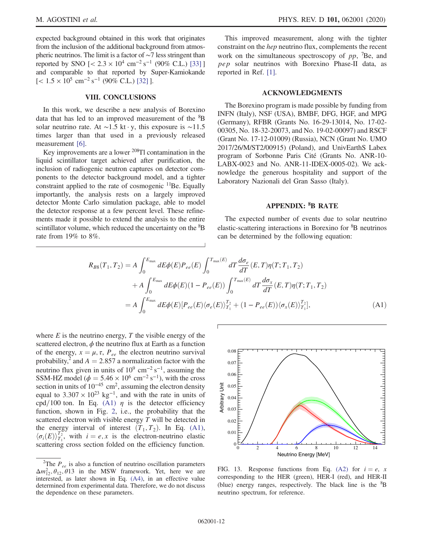expected background obtained in this work that originates from the inclusion of the additional background from atmospheric neutrinos. The limit is a factor of ∼7 less stringent than reported by SNO  $\left[ < 2.3 \times 10^4 \text{ cm}^{-2} \text{ s}^{-1} \right]$  (90% C.L.) [\[33\]](#page-13-7) ] and comparable to that reported by Super-Kamiokande  $\left[$  < 1.5 × 10<sup>5</sup> cm<sup>-2</sup> s<sup>-1</sup> (90% C.L.) [\[32\]](#page-13-6) ].

### VIII. CONCLUSIONS

In this work, we describe a new analysis of Borexino data that has led to an improved measurement of the <sup>8</sup>B solar neutrino rate. At ∼1.5 kt · y, this exposure is ∼11.5 times larger than that used in a previously released measurement [\[6\].](#page-12-2)

Key improvements are a lower <sup>208</sup>Tl contamination in the liquid scintillator target achieved after purification, the inclusion of radiogenic neutron captures on detector components to the detector background model, and a tighter constraint applied to the rate of cosmogenic  $<sup>11</sup>Be$ . Equally</sup> importantly, the analysis rests on a largely improved detector Monte Carlo simulation package, able to model the detector response at a few percent level. These refinements made it possible to extend the analysis to the entire scintillator volume, which reduced the uncertainty on the <sup>8</sup>B rate from 19% to 8%.

This improved measurement, along with the tighter constraint on the hep neutrino flux, complements the recent work on the simultaneous spectroscopy of  $pp$ , <sup>7</sup>Be, and pep solar neutrinos with Borexino Phase-II data, as reported in Ref. [\[1\]](#page-12-0).

### ACKNOWLEDGMENTS

The Borexino program is made possible by funding from INFN (Italy), NSF (USA), BMBF, DFG, HGF, and MPG (Germany), RFBR (Grants No. 16-29-13014, No. 17-02- 00305, No. 18-32-20073, and No. 19-02-00097) and RSCF (Grant No. 17-12-01009) (Russia), NCN (Grant No. UMO 2017/26/M/ST2/00915) (Poland), and UnivEarthS Labex program of Sorbonne Paris Cité (Grants No. ANR-10-LABX-0023 and No. ANR-11-IDEX-0005-02). We acknowledge the generous hospitality and support of the Laboratory Nazionali del Gran Sasso (Italy).

## APPENDIX: <sup>8</sup> B RATE

The expected number of events due to solar neutrino elastic-scattering interactions in Borexino for <sup>8</sup>B neutrinos can be determined by the following equation:

<span id="page-11-0"></span>
$$
R_{B8}(T_1, T_2) = A \int_0^{E_{\text{max}}} dE \phi(E) P_{ee}(E) \int_0^{T_{\text{max}}(E)} dT \frac{d\sigma_e}{dT}(E, T) \eta(T; T_1, T_2)
$$
  
+ 
$$
A \int_0^{E_{\text{max}}} dE \phi(E) (1 - P_{ee}(E)) \int_0^{T_{\text{max}}(E)} dT \frac{d\sigma_x}{dT}(E, T) \eta(T; T_1, T_2)
$$
  
= 
$$
A \int_0^{E_{\text{max}}} dE \phi(E) [P_{ee}(E) \langle \sigma_e(E) \rangle_{T_1}^{T_2} + (1 - P_{ee}(E)) \langle \sigma_x(E) \rangle_{T_1}^{T_2}], \tag{A1}
$$

where  $E$  is the neutrino energy,  $T$  the visible energy of the scattered electron,  $\phi$  the neutrino flux at Earth as a function of the energy,  $x = \mu$ ,  $\tau$ ,  $P_{ee}$  the electron neutrino survival probability,<sup>2</sup> and  $A = 2.857$  a normalization factor with the neutrino flux given in units of  $10^9$  cm<sup>-2</sup> s<sup>-1</sup>, assuming the SSM-HZ model ( $\phi = 5.46 \times 10^6$  cm<sup>-2</sup> s<sup>-1</sup>), with the cross section in units of  $10^{-45}$  cm<sup>2</sup>, assuming the electron density equal to  $3.307 \times 10^{23}$  kg<sup>-1</sup>, and with the rate in units of cpd/100 ton. In Eq. [\(A1\)](#page-11-0)  $\eta$  is the detector efficiency function, shown in Fig. [2,](#page-3-1) i.e., the probability that the scattered electron with visible energy T will be detected in the energy interval of interest  $(T_1, T_2)$ . In Eq. [\(A1\)](#page-11-0),  $\langle \sigma_i(E) \rangle_{T_1}^{T_2}$ , with  $i = e, x$  is the electron-neutrino elastic scattering cross section folded on the efficiency function.

<sup>&</sup>lt;sup>2</sup>The  $P_{ee}$  is also a function of neutrino oscillation parameters  $\Delta m_{12}^2$ ,  $\theta_{12}$ ,  $\theta_{13}$  in the MSW framework. Yet, here we are interested, as later shown in Eq. [\(A4\),](#page-12-22) in an effective value determined from experimental data. Therefore, we do not discuss the dependence on these parameters.

<span id="page-11-1"></span>![](_page_11_Figure_14.jpeg)

FIG. 13. Response functions from Eq. [\(A2\)](#page-12-21) for  $i = e$ , x corresponding to the HER (green), HER-I (red), and HER-II (blue) energy ranges, respectively. The black line is the  ${}^{8}B$ neutrino spectrum, for reference.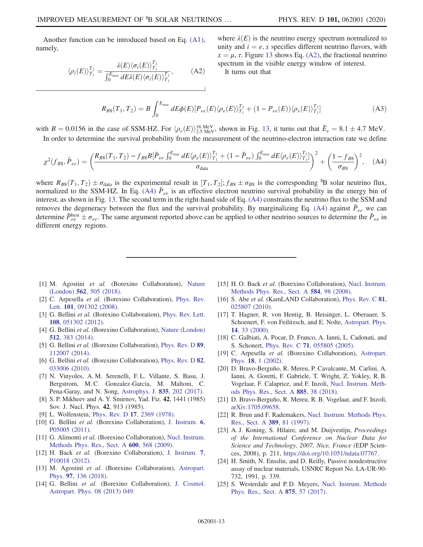<span id="page-12-21"></span>Another function can be introduced based on Eq. [\(A1\)](#page-11-0), namely,

$$
\langle \rho_i(E) \rangle_{T_1}^{T_2} = \frac{\lambda(E) \langle \sigma_i(E) \rangle_{T_1}^{T_2}}{\int_0^{E_{\text{max}}} dE \lambda(E) \langle \sigma_i(E) \rangle_{T_1}^{T_2}}, \quad (A2)
$$

where  $\lambda(E)$  is the neutrino energy spectrum normalized to unity and  $i = e, x$  specifies different neutrino flavors, with  $x = \mu$ ,  $\tau$ . Figure [13](#page-11-1) shows Eq. [\(A2\),](#page-12-21) the fractional neutrino spectrum in the visible energy window of interest.

It turns out that

$$
R_{B8}(T_1, T_2) = B \int_0^{E_{\text{max}}} dE \phi(E) [P_{ee}(E) \langle \rho_e(E) \rangle_{T_1}^{T_2} + (1 - P_{ee}(E)) \langle \rho_x(E) \rangle_{T_1}^{T_2}] \tag{A3}
$$

<span id="page-12-22"></span>with  $B = 0.0156$  in the case of SSM-HZ. For  $\langle \rho_e(E) \rangle_{2.5 \text{ MeV}}^{16 \text{ MeV}}$ , shown in Fig. [13](#page-11-1), it turns out that  $\bar{E}_{\nu} = 8.1 \pm 4.7 \text{ MeV}$ .

In order to determine the survival probability from the measurement of the neutrino-electron interaction rate we define

$$
\chi^2(f_{B8}, \bar{P}_{ee}) = \left(\frac{R_{B8}(T_1, T_2) - f_{B8}B[\bar{P}_{ee} \int_0^{E_{\text{max}}} dE \langle \rho_e(E) \rangle_{T_1}^{T_2} + (1 - \bar{P}_{ee}) \int_0^{E_{\text{max}}} dE \langle \rho_e(E) \rangle_{T_1}^{T_2}]}{\sigma_{\text{data}}}\right)^2 + \left(\frac{1 - f_{B8}}{\sigma_{B8}}\right)^2, \quad (A4)
$$

where  $R_{B8}(T_1, T_2) \pm \sigma_{\text{data}}$  is the experimental result in  $[T_1, T_2]$ ;  $f_{B8} \pm \sigma_{B8}$  is the corresponding <sup>8</sup>B solar neutrino flux, normalized to the SSM-HZ. In Eq. [\(A4\)](#page-12-22)  $\bar{P}_{ee}$  is an effective electron neutrino survival probability in the energy bin of interest, as shown in Fig. [13](#page-11-1). The second term in the right-hand side of Eq. [\(A4\)](#page-12-22) constrains the neutrino flux to the SSM and removes the degeneracy between the flux and the survival probability. By marginalizing Eq. [\(A4\)](#page-12-22) against  $\bar{P}_{ee}$  we can determine  $\bar{P}_{ee}^{\text{best}} \pm \sigma_{ee}$ . The same argument reported above can be applied to other neutrino sources to determine the  $\bar{P}_{ee}$  in different energy regions.

- <span id="page-12-0"></span>[1] M. Agostini et al. (Borexino Collaboration), [Nature](https://doi.org/10.1038/s41586-018-0624-y) (London) 562[, 505 \(2018\)](https://doi.org/10.1038/s41586-018-0624-y).
- <span id="page-12-1"></span>[2] C. Arpesella et al. (Borexino Collaboration), [Phys. Rev.](https://doi.org/10.1103/PhysRevLett.101.091302) Lett. 101[, 091302 \(2008\)](https://doi.org/10.1103/PhysRevLett.101.091302).
- [3] G. Bellini et al. (Borexino Collaboration), [Phys. Rev. Lett.](https://doi.org/10.1103/PhysRevLett.108.051302) 108[, 051302 \(2012\).](https://doi.org/10.1103/PhysRevLett.108.051302)
- [4] G. Bellini et al. (Borexino Collaboration), [Nature \(London\)](https://doi.org/10.1038/nature13702) 512[, 383 \(2014\)](https://doi.org/10.1038/nature13702).
- <span id="page-12-9"></span>[5] G. Bellini et al. (Borexino Collaboration), [Phys. Rev. D](https://doi.org/10.1103/PhysRevD.89.112007) 89, [112007 \(2014\).](https://doi.org/10.1103/PhysRevD.89.112007)
- <span id="page-12-2"></span>[6] G. Bellini et al. (Borexino Collaboration), [Phys. Rev. D](https://doi.org/10.1103/PhysRevD.82.033006) 82, [033006 \(2010\).](https://doi.org/10.1103/PhysRevD.82.033006)
- <span id="page-12-3"></span>[7] N. Vinyoles, A. M. Serenelli, F. L. Villante, S. Basu, J. Bergstrom, M. C. Gonzalez-Garcia, M. Maltoni, C. Pena-Garay, and N. Song, [Astrophys. J.](https://doi.org/10.3847/1538-4357/835/2/202) 835, 202 (2017).
- <span id="page-12-4"></span>[8] S. P. Mikheev and A. Y. Smirnov, Yad. Fiz. 42, 1441 (1985) Sov. J. Nucl. Phys. 42, 913 (1985).
- <span id="page-12-5"></span>[9] L. Wolfenstein, Phys. Rev. D 17[, 2369 \(1978\)](https://doi.org/10.1103/PhysRevD.17.2369).
- [10] G. Bellini et al. (Borexino Collaboration), [J. Instrum.](https://doi.org/10.1088/1748-0221/6/05/P05005) 6, [P05005 \(2011\)](https://doi.org/10.1088/1748-0221/6/05/P05005).
- <span id="page-12-6"></span>[11] G. Alimonti et al. (Borexino Collaboration), [Nucl. Instrum.](https://doi.org/10.1016/j.nima.2008.11.076) [Methods Phys. Res., Sect. A](https://doi.org/10.1016/j.nima.2008.11.076) 600, 568 (2009).
- <span id="page-12-7"></span>[12] H. Back et al. (Borexino Collaboration), [J. Instrum.](https://doi.org/10.1088/1748-0221/7/10/P10018) 7, [P10018 \(2012\)](https://doi.org/10.1088/1748-0221/7/10/P10018).
- <span id="page-12-8"></span>[13] M. Agostini et al. (Borexino Collaboration), [Astropart.](https://doi.org/10.1016/j.astropartphys.2017.10.003) Phys. 97[, 136 \(2018\).](https://doi.org/10.1016/j.astropartphys.2017.10.003)
- <span id="page-12-10"></span>[14] G. Bellini et al. (Borexino Collaboration), [J. Cosmol.](https://doi.org/10.1088/1475-7516/2013/08/049) [Astropart. Phys. 08 \(2013\) 049.](https://doi.org/10.1088/1475-7516/2013/08/049)
- <span id="page-12-11"></span>[15] H.O. Back et al. (Borexino Collaboration), [Nucl. Instrum.](https://doi.org/10.1016/j.nima.2007.09.036) [Methods Phys. Res., Sect. A](https://doi.org/10.1016/j.nima.2007.09.036) 584, 98 (2008).
- <span id="page-12-12"></span>[16] S. Abe et al. (KamLAND Collaboration), [Phys. Rev. C](https://doi.org/10.1103/PhysRevC.81.025807) 81, [025807 \(2010\).](https://doi.org/10.1103/PhysRevC.81.025807)
- <span id="page-12-13"></span>[17] T. Hagner, R. von Hentig, B. Heisinger, L. Oberauer, S. Schoenert, F. von Feilitzsch, and E. Nolte, [Astropart. Phys.](https://doi.org/10.1016/S0927-6505(00)00103-1) 14[, 33 \(2000\).](https://doi.org/10.1016/S0927-6505(00)00103-1)
- <span id="page-12-14"></span>[18] C. Galbiati, A. Pocar, D. Franco, A. Ianni, L. Cadonati, and S. Schonert, Phys. Rev. C 71[, 055805 \(2005\)](https://doi.org/10.1103/PhysRevC.71.055805).
- <span id="page-12-15"></span>[19] C. Arpesella et al. (Borexino Collaboration), [Astropart.](https://doi.org/10.1016/S0927-6505(01)00179-7) Phys. 18[, 1 \(2002\)](https://doi.org/10.1016/S0927-6505(01)00179-7).
- <span id="page-12-16"></span>[20] D. Bravo-Berguño, R. Mereu, P. Cavalcante, M. Carlini, A. Ianni, A. Goretti, F. Gabriele, T. Wright, Z. Yokley, R. B. Vogelaar, F. Calaprice, and F. Inzoli, [Nucl. Instrum. Meth](https://doi.org/10.1016/j.nima.2017.12.047)[ods Phys. Res., Sect. A](https://doi.org/10.1016/j.nima.2017.12.047) 885, 38 (2018).
- [21] D. Bravo-Berguño, R. Mereu, R. B. Vogelaar, and F. Inzoli, [arXiv:1705.09658.](https://arXiv.org/abs/1705.09658)
- <span id="page-12-17"></span>[22] R. Brun and F. Rademakers, [Nucl. Instrum. Methods Phys.](https://doi.org/10.1016/S0168-9002(97)00048-X) [Res., Sect. A](https://doi.org/10.1016/S0168-9002(97)00048-X) 389, 81 (1997).
- <span id="page-12-19"></span>[23] A. J. Koning, S. Hilaire, and M. Duijvestijn, *Proceedings* of the International Conference on Nuclear Data for Science and Technology, 2007, Nice, France (EDP Sciences, 2008), p. 211, [https://doi.org/10.1051/ndata:07767.](https://doi.org/10.1051/ndata:07767)
- <span id="page-12-20"></span>[24] H. Smith, N. Ensslin, and D. Reilly, Passive nondestructive assay of nuclear materials, USNRC Report No. LA-UR-90- 732, 1991, p. 339.
- <span id="page-12-18"></span>[25] S. Westerdale and P.D. Meyers, [Nucl. Instrum. Methods](https://doi.org/10.1016/j.nima.2017.09.007) [Phys. Res., Sect. A](https://doi.org/10.1016/j.nima.2017.09.007) 875, 57 (2017).